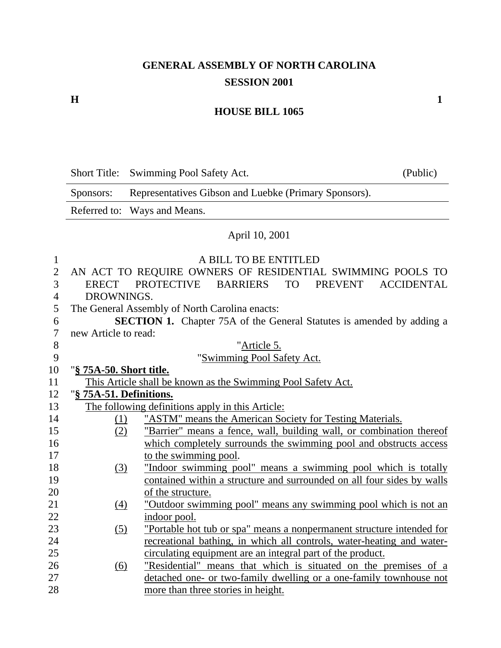#### **H** 1

#### **HOUSE BILL 1065**

Short Title: Swimming Pool Safety Act. (Public) Sponsors: Representatives Gibson and Luebke (Primary Sponsors). Referred to: Ways and Means. April 10, 2001 1 A BILL TO BE ENTITLED<br>2 AN ACT TO REQUIRE OWNERS OF RESIDENTIAL 2 AN ACT TO REQUIRE OWNERS OF RESIDENTIAL SWIMMING POOLS TO 3 ERECT PROTECTIVE BARRIERS TO PREVENT ACCIDENTAL 4 DROWNINGS. 5 The General Assembly of North Carolina enacts: 6 **SECTION 1.** Chapter 75A of the General Statutes is amended by adding a 7 new Article to read: 8 "Article 5. 9 "Swimming Pool Safety Act. 10 "**§ 75A-50. Short title.** 11 This Article shall be known as the Swimming Pool Safety Act. 12 "**§ 75A-51. Definitions.** 13 The following definitions apply in this Article: 14 (1) "ASTM" means the American Society for Testing Materials. 15 (2) "Barrier" means a fence, wall, building wall, or combination thereof 16 which completely surrounds the swimming pool and obstructs access 17 to the swimming pool. 18 (3) "Indoor swimming pool" means a swimming pool which is totally 19 contained within a structure and surrounded on all four sides by walls 20 of the structure. 21 (4) "Outdoor swimming pool" means any swimming pool which is not an 22 indoor pool. 23 (5) "Portable hot tub or spa" means a nonpermanent structure intended for 24 recreational bathing, in which all controls, water-heating and water-25 circulating equipment are an integral part of the product. 26 (6) "Residential" means that which is situated on the premises of a 27 detached one- or two-family dwelling or a one-family townhouse not

28 more than three stories in height.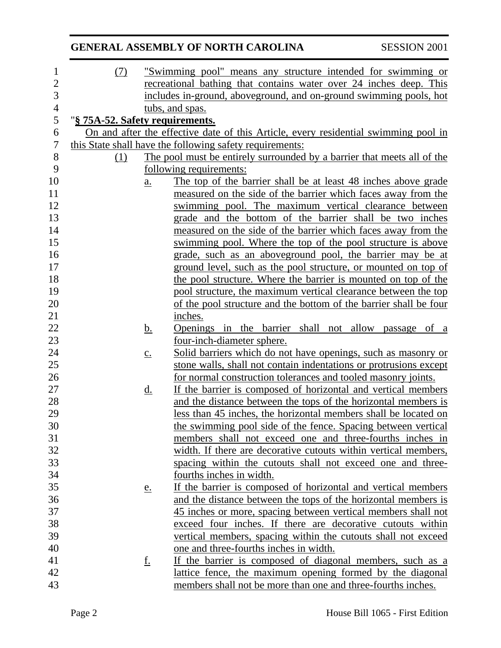|                |                                 |                            | <b>GENERAL ASSEMBLY OF NORTH CAROLINA</b>                                           | <b>SESSION 2001</b> |
|----------------|---------------------------------|----------------------------|-------------------------------------------------------------------------------------|---------------------|
| $\mathbf 1$    | (7)                             |                            | "Swimming pool" means any structure intended for swimming or                        |                     |
| $\mathbf{2}$   |                                 |                            | recreational bathing that contains water over 24 inches deep. This                  |                     |
| 3              |                                 |                            | includes in-ground, aboveground, and on-ground swimming pools, hot                  |                     |
| $\overline{4}$ |                                 |                            | tubs, and spas.                                                                     |                     |
| 5              | "§ 75A-52. Safety requirements. |                            |                                                                                     |                     |
| 6              |                                 |                            | On and after the effective date of this Article, every residential swimming pool in |                     |
| $\overline{7}$ |                                 |                            | this State shall have the following safety requirements:                            |                     |
| $8\,$          | (1)                             |                            | The pool must be entirely surrounded by a barrier that meets all of the             |                     |
| 9              |                                 |                            | following requirements:                                                             |                     |
| 10             |                                 | $\underline{\mathbf{a}}$ . | The top of the barrier shall be at least 48 inches above grade                      |                     |
| 11             |                                 |                            | measured on the side of the barrier which faces away from the                       |                     |
| 12             |                                 |                            | swimming pool. The maximum vertical clearance between                               |                     |
| 13             |                                 |                            | grade and the bottom of the barrier shall be two inches                             |                     |
| 14             |                                 |                            | measured on the side of the barrier which faces away from the                       |                     |
| 15             |                                 |                            | swimming pool. Where the top of the pool structure is above                         |                     |
| 16             |                                 |                            | grade, such as an aboveground pool, the barrier may be at                           |                     |
| 17             |                                 |                            | ground level, such as the pool structure, or mounted on top of                      |                     |
| 18             |                                 |                            | the pool structure. Where the barrier is mounted on top of the                      |                     |
| 19             |                                 |                            | pool structure, the maximum vertical clearance between the top                      |                     |
| 20             |                                 |                            | of the pool structure and the bottom of the barrier shall be four                   |                     |
| 21             |                                 |                            | inches.                                                                             |                     |
| 22             |                                 | <u>b.</u>                  | Openings in the barrier shall not allow passage of a                                |                     |
| 23             |                                 |                            | four-inch-diameter sphere.                                                          |                     |
| 24             |                                 | $\underline{c}$ .          | Solid barriers which do not have openings, such as masonry or                       |                     |
| 25             |                                 |                            | stone walls, shall not contain indentations or protrusions except                   |                     |
| 26             |                                 |                            | for normal construction tolerances and tooled masonry joints.                       |                     |
| 27             |                                 | <u>d.</u>                  | If the barrier is composed of horizontal and vertical members                       |                     |
| 28             |                                 |                            | and the distance between the tops of the horizontal members is                      |                     |
| 29             |                                 |                            | less than 45 inches, the horizontal members shall be located on                     |                     |
| 30             |                                 |                            | the swimming pool side of the fence. Spacing between vertical                       |                     |
| 31             |                                 |                            | members shall not exceed one and three-fourths inches in                            |                     |
| 32             |                                 |                            | width. If there are decorative cutouts within vertical members,                     |                     |
| 33             |                                 |                            | spacing within the cutouts shall not exceed one and three-                          |                     |
| 34             |                                 |                            | fourths inches in width.                                                            |                     |
| 35             |                                 | e.                         | If the barrier is composed of horizontal and vertical members                       |                     |
| 36             |                                 |                            | and the distance between the tops of the horizontal members is                      |                     |
| 37             |                                 |                            | 45 inches or more, spacing between vertical members shall not                       |                     |
| 38             |                                 |                            | exceed four inches. If there are decorative cutouts within                          |                     |
| 39             |                                 |                            | vertical members, spacing within the cutouts shall not exceed                       |                     |
| 40             |                                 |                            | one and three-fourths inches in width.                                              |                     |
| 41             |                                 | <u>f.</u>                  | If the barrier is composed of diagonal members, such as a                           |                     |
| 42             |                                 |                            | lattice fence, the maximum opening formed by the diagonal                           |                     |
| 43             |                                 |                            | members shall not be more than one and three-fourths inches.                        |                     |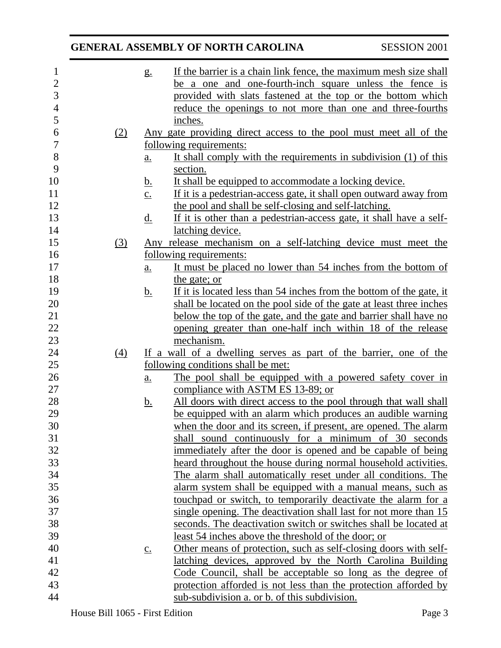| $\mathbf{1}$   |     | g.                | If the barrier is a chain link fence, the maximum mesh size shall    |
|----------------|-----|-------------------|----------------------------------------------------------------------|
| $\overline{2}$ |     |                   | be a one and one-fourth-inch square unless the fence is              |
| $\overline{3}$ |     |                   | provided with slats fastened at the top or the bottom which          |
| $\overline{4}$ |     |                   | reduce the openings to not more than one and three-fourths           |
| 5              |     |                   | inches.                                                              |
| 6              | (2) |                   | Any gate providing direct access to the pool must meet all of the    |
| $\overline{7}$ |     |                   | following requirements:                                              |
| $8\,$          |     | $\underline{a}$ . | It shall comply with the requirements in subdivision (1) of this     |
| 9              |     |                   | section.                                                             |
| 10             |     | <u>b.</u>         | It shall be equipped to accommodate a locking device.                |
| 11             |     | $\underline{c}$ . | If it is a pedestrian-access gate, it shall open outward away from   |
| 12             |     |                   | the pool and shall be self-closing and self-latching.                |
| 13             |     |                   |                                                                      |
|                |     | <u>d.</u>         | If it is other than a pedestrian-access gate, it shall have a self-  |
| 14             |     |                   | latching device.                                                     |
| 15             | (3) |                   | Any release mechanism on a self-latching device must meet the        |
| 16             |     |                   | following requirements:                                              |
| 17             |     | $\underline{a}$ . | It must be placed no lower than 54 inches from the bottom of         |
| 18             |     |                   | the gate; or                                                         |
| 19             |     | <u>b.</u>         | If it is located less than 54 inches from the bottom of the gate, it |
| 20             |     |                   | shall be located on the pool side of the gate at least three inches  |
| 21             |     |                   | below the top of the gate, and the gate and barrier shall have no    |
| 22             |     |                   | opening greater than one-half inch within 18 of the release          |
| 23             |     |                   | mechanism.                                                           |
| 24             | (4) |                   | If a wall of a dwelling serves as part of the barrier, one of the    |
| 25             |     |                   | following conditions shall be met:                                   |
| 26             |     | $\underline{a}$ . | The pool shall be equipped with a powered safety cover in            |
| 27             |     |                   | compliance with ASTM ES 13-89; or                                    |
| 28             |     | <u>b.</u>         | All doors with direct access to the pool through that wall shall     |
| 29             |     |                   | be equipped with an alarm which produces an audible warning          |
|                |     |                   |                                                                      |
| 30             |     |                   | when the door and its screen, if present, are opened. The alarm      |
| 31             |     |                   | shall sound continuously for a minimum of 30 seconds                 |
| 32             |     |                   | immediately after the door is opened and be capable of being         |
| 33             |     |                   | heard throughout the house during normal household activities.       |
| 34             |     |                   | The alarm shall automatically reset under all conditions. The        |
| 35             |     |                   | alarm system shall be equipped with a manual means, such as          |
| 36             |     |                   | touchpad or switch, to temporarily deactivate the alarm for a        |
| 37             |     |                   | single opening. The deactivation shall last for not more than 15     |
| 38             |     |                   | seconds. The deactivation switch or switches shall be located at     |
| 39             |     |                   | least 54 inches above the threshold of the door; or                  |
| 40             |     | $\underline{c}$ . | Other means of protection, such as self-closing doors with self-     |
| 41             |     |                   | latching devices, approved by the North Carolina Building            |
| 42             |     |                   | Code Council, shall be acceptable so long as the degree of           |
| 43             |     |                   | protection afforded is not less than the protection afforded by      |
| 44             |     |                   | sub-subdivision a. or b. of this subdivision.                        |
|                |     |                   |                                                                      |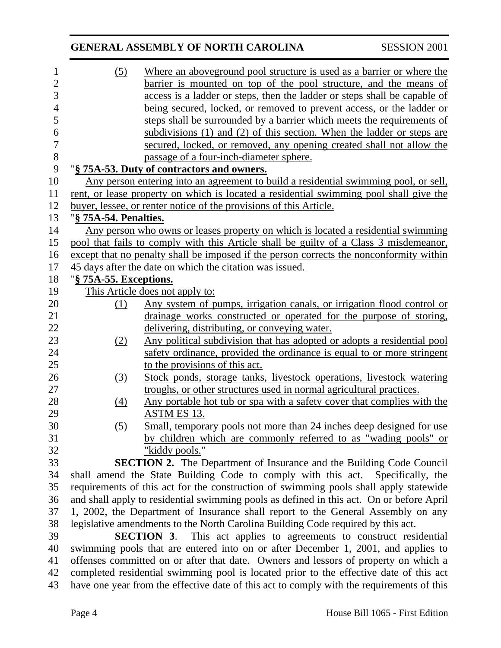| 1              | $\left( 5\right)$                                                                        | Where an aboveground pool structure is used as a barrier or where the                   |  |  |  |
|----------------|------------------------------------------------------------------------------------------|-----------------------------------------------------------------------------------------|--|--|--|
| $\overline{2}$ |                                                                                          | barrier is mounted on top of the pool structure, and the means of                       |  |  |  |
| 3              |                                                                                          | access is a ladder or steps, then the ladder or steps shall be capable of               |  |  |  |
| $\overline{4}$ |                                                                                          | being secured, locked, or removed to prevent access, or the ladder or                   |  |  |  |
| 5              |                                                                                          | steps shall be surrounded by a barrier which meets the requirements of                  |  |  |  |
| 6              |                                                                                          | subdivisions (1) and (2) of this section. When the ladder or steps are                  |  |  |  |
| $\overline{7}$ |                                                                                          | secured, locked, or removed, any opening created shall not allow the                    |  |  |  |
| 8              |                                                                                          | passage of a four-inch-diameter sphere.                                                 |  |  |  |
| 9              |                                                                                          | "§ 75A-53. Duty of contractors and owners.                                              |  |  |  |
| 10             | Any person entering into an agreement to build a residential swimming pool, or sell,     |                                                                                         |  |  |  |
| 11             | rent, or lease property on which is located a residential swimming pool shall give the   |                                                                                         |  |  |  |
| 12             | buyer, lessee, or renter notice of the provisions of this Article.                       |                                                                                         |  |  |  |
| 13             | "§ 75A-54. Penalties.                                                                    |                                                                                         |  |  |  |
| 14             |                                                                                          | Any person who owns or leases property on which is located a residential swimming       |  |  |  |
| 15             |                                                                                          | pool that fails to comply with this Article shall be guilty of a Class 3 misdemeanor,   |  |  |  |
| 16             |                                                                                          | except that no penalty shall be imposed if the person corrects the nonconformity within |  |  |  |
| 17             | 45 days after the date on which the citation was issued.                                 |                                                                                         |  |  |  |
| 18             | "§ 75A-55. Exceptions.                                                                   |                                                                                         |  |  |  |
| 19             | This Article does not apply to:                                                          |                                                                                         |  |  |  |
| 20             | (1)                                                                                      | Any system of pumps, irrigation canals, or irrigation flood control or                  |  |  |  |
| 21             |                                                                                          | drainage works constructed or operated for the purpose of storing,                      |  |  |  |
| 22             |                                                                                          | delivering, distributing, or conveying water.                                           |  |  |  |
| 23             | (2)                                                                                      | <u>Any political subdivision that has adopted or adopts a residential pool</u>          |  |  |  |
| 24             |                                                                                          | safety ordinance, provided the ordinance is equal to or more stringent                  |  |  |  |
| 25             |                                                                                          | to the provisions of this act.                                                          |  |  |  |
| 26             | (3)                                                                                      | Stock ponds, storage tanks, livestock operations, livestock watering                    |  |  |  |
| 27             |                                                                                          | troughs, or other structures used in normal agricultural practices.                     |  |  |  |
| 28             | (4)                                                                                      | Any portable hot tub or spa with a safety cover that complies with the                  |  |  |  |
| 29             |                                                                                          | ASTM ES 13.                                                                             |  |  |  |
| 30             | (5)                                                                                      | Small, temporary pools not more than 24 inches deep designed for use                    |  |  |  |
| 31             |                                                                                          | by children which are commonly referred to as "wading pools" or                         |  |  |  |
| 32             |                                                                                          | "kiddy pools."                                                                          |  |  |  |
| 33             |                                                                                          | <b>SECTION 2.</b> The Department of Insurance and the Building Code Council             |  |  |  |
| 34             |                                                                                          | shall amend the State Building Code to comply with this act.<br>Specifically, the       |  |  |  |
| 35             |                                                                                          | requirements of this act for the construction of swimming pools shall apply statewide   |  |  |  |
| 36             | and shall apply to residential swimming pools as defined in this act. On or before April |                                                                                         |  |  |  |
| 37             | 1, 2002, the Department of Insurance shall report to the General Assembly on any         |                                                                                         |  |  |  |
| 38             | legislative amendments to the North Carolina Building Code required by this act.         |                                                                                         |  |  |  |
| 39             | <b>SECTION 3.</b> This act applies to agreements to construct residential                |                                                                                         |  |  |  |
| 40             | swimming pools that are entered into on or after December 1, 2001, and applies to        |                                                                                         |  |  |  |
| 41             | offenses committed on or after that date. Owners and lessors of property on which a      |                                                                                         |  |  |  |
| 42             | completed residential swimming pool is located prior to the effective date of this act   |                                                                                         |  |  |  |